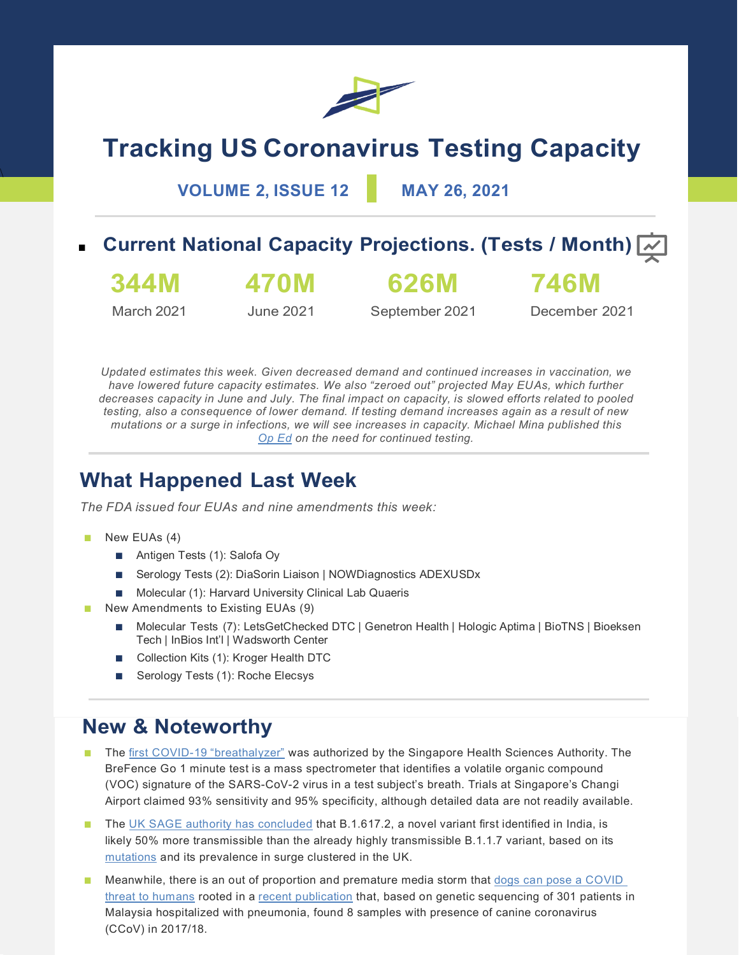

# **Tracking US Coronavirus Testing Capacity**

**VOLUME 2, ISSUE 12 MAY 26, 2021**

## **Current National Capacity Projections. (Tests / Month)**  $\boxed{\sim}$



March 2021

**470M**

**626M**

June 2021

September 2021 December 2021

**746M**

*Updated estimates this week. Given decreased demand and continued increases in vaccination, we have lowered future capacity estimates. We also "zeroed out" projected May EUAs, which further decreases capacity in June and July. The final impact on capacity, is slowed efforts related to pooled testing, also a consequence of lower demand. If testing demand increases again as a result of new mutations or a surge in infections, we will see increases in capacity. Michael Mina published this [Op Ed](https://time.com/6050846/covid-19-rapid-testing/) on the need for continued testing.*

# **What Happened Last Week**

*The FDA issued four EUAs and nine amendments this week:*

New EUAs (4)

 $\overline{A}$ 

- Antigen Tests (1): Salofa Oy
- Serology Tests (2): DiaSorin Liaison | NOWDiagnostics ADEXUSDx
- Molecular (1): Harvard University Clinical Lab Quaeris
- New Amendments to Existing EUAs (9)
	- Molecular Tests (7): LetsGetChecked DTC | Genetron Health | Hologic Aptima | BioTNS | Bioeksen Tech | InBios Int'l | Wadsworth Center
	- Collection Kits (1): Kroger Health DTC
	- Serology Tests (1): Roche Elecsys

### **New & Noteworthy**

- The [first COVID-19 "breathalyzer"](https://www.fiercebiotech.com/medtech/breathonix-s-covid-19-breathalyzer-test-receives-provisional-authorization-singapore) was authorized by the Singapore Health Sciences Authority. The BreFence Go 1 minute test is a mass spectrometer that identifies a volatile organic compound (VOC) signature of the SARS-CoV-2 virus in a test subject's breath. Trials at Singapore's Changi Airport claimed 93% sensitivity and 95% specificity, although detailed data are not readily available.
- The [UK SAGE authority has concluded](https://assets.publishing.service.gov.uk/government/uploads/system/uploads/attachment_data/file/986709/S1237_SPI-M-O_Consensus_Statement.pdf) that B.1.617.2, a novel variant first identified in India, is likely 50% more transmissible than the already highly transmissible B.1.1.7 variant, based on its [mutations](https://doi.org/10.1101/2021.04.22.440932) and its prevalence in surge clustered in the UK.
- Meanwhile, there is an out of proportion and premature media storm that dogs can pose a COVID [threat to humans](https://www.nytimes.com/2021/05/20/health/dogs-coronavirus-infections.html) rooted in a [recent publication](https://academic.oup.com/cid/advance-article/doi/10.1093/cid/ciab456/6278597) that, based on genetic sequencing of 301 patients in Malaysia hospitalized with pneumonia, found 8 samples with presence of canine coronavirus (CCoV) in 2017/18.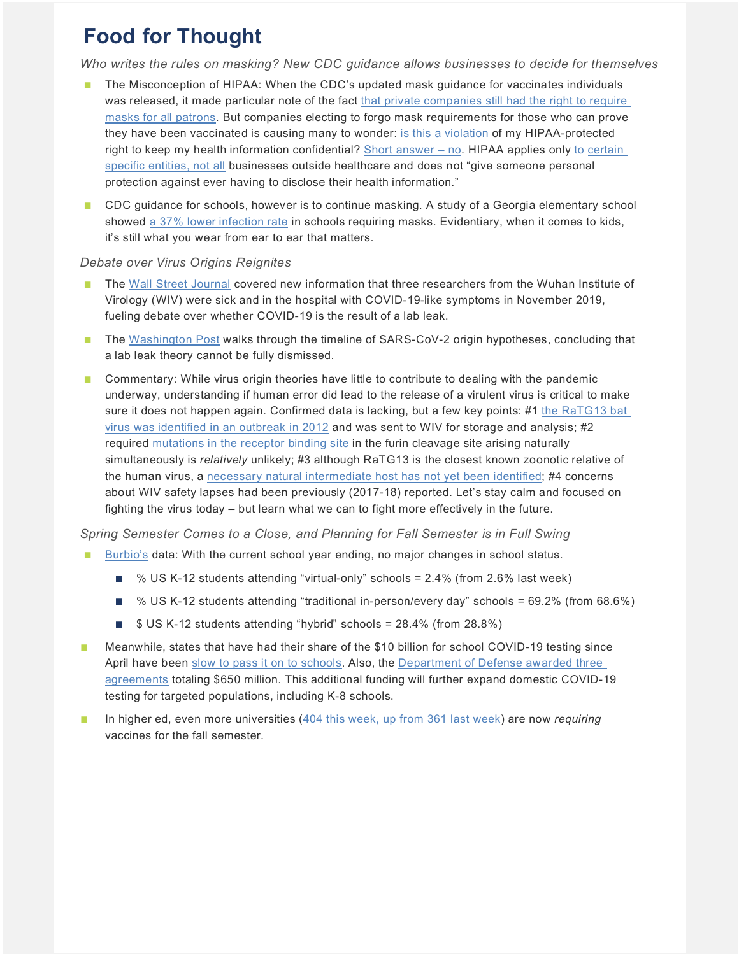# **Food for Thought**

*Who writes the rules on masking? New CDC guidance allows businesses to decide for themselves*

- The Misconception of HIPAA: When the CDC's updated mask guidance for vaccinates individuals was released, it made particular note of the fact [that private companies still had the right to require](https://www.businessinsider.com/cdc-masks-fully-vaccinated-private-companies-require-2021-5)  [masks for all patrons.](https://www.businessinsider.com/cdc-masks-fully-vaccinated-private-companies-require-2021-5) But companies electing to forgo mask requirements for those who can prove they have been vaccinated is causing many to wonder: [is this a violation](https://www.mahoningmatters.com/local-news/is-it-a-hipaa-violation-if-businesses-request-proof-of-covid-vaccine-what-experts-say-3803697) of my HIPAA-protected right to keep my health information confidential? [Short answer –](https://www.usatoday.com/story/news/factcheck/2021/05/19/fact-check-asking-vaccinations-doesnt-violate-hipaa/5165952001/) no. HIPAA applies only to [certain](https://www.tampabay.com/news/health/2021/05/17/is-it-a-hipaa-violation-if-businesses-request-proof-of-vaccine-what-experts-say/)  [specific entities, not all](https://www.tampabay.com/news/health/2021/05/17/is-it-a-hipaa-violation-if-businesses-request-proof-of-vaccine-what-experts-say/) businesses outside healthcare and does not "give someone personal protection against ever having to disclose their health information."
- CDC guidance for schools, however is to continue masking. A study of a Georgia elementary school showed [a 37% lower infection rate](https://www.medscape.com/viewarticle/951711?src=mkm_covid_update_210524_MSCPEDIT&uac=158276FX&impID=3396561&faf=1) in schools requiring masks. Evidentiary, when it comes to kids, it's still what you wear from ear to ear that matters.

#### *Debate over Virus Origins Reignites*

- The [Wall Street Journal](https://www.wsj.com/articles/intelligence-on-sick-staff-at-wuhan-lab-fuels-debate-on-covid-19-origin-11621796228) covered new information that three researchers from the Wuhan Institute of Virology (WIV) were sick and in the hospital with COVID-19-like symptoms in November 2019, fueling debate over whether COVID-19 is the result of a lab leak.
- The [Washington Post](https://www.washingtonpost.com/politics/2021/05/25/timeline-how-wuhan-lab-leak-theory-suddenly-became-credible/?utm_campaign=wp_post_most&utm_medium=email&utm_source=newsletter&wpisrc=nl_most&carta-url=https%3A%2F%2Fs2.washingtonpost.com%2Fcar-ln-tr%2F32b65dd%2F60ad21209d2fdae3025f7caa%2F5972d1c79bbc0f1cdceb8dbb%2F8%2F70%2F60ad21209d2fdae3025f7caa) walks through the timeline of SARS-CoV-2 origin hypotheses, concluding that a lab leak theory cannot be fully dismissed.
- Commentary: While virus origin theories have little to contribute to dealing with the pandemic underway, understanding if human error did lead to the release of a virulent virus is critical to make sure it does not happen again. Confirmed data is lacking, but a few key points: #1 [the RaTG13 bat](https://www.thetimes.co.uk/article/seven-year-covid-trail-revealed-l5vxt7jqp)  [virus was identified in an outbreak in 2012](https://www.thetimes.co.uk/article/seven-year-covid-trail-revealed-l5vxt7jqp) and was sent to WIV for storage and analysis; #2 required [mutations in the receptor binding site](https://thebulletin.org/2021/05/the-origin-of-covid-did-people-or-nature-open-pandoras-box-at-wuhan/) in the furin cleavage site arising naturally simultaneously is *relatively* unlikely; #3 although RaTG13 is the closest known zoonotic relative of the human virus, a [necessary natural intermediate host has not yet been identified;](https://www.thelancet.com/journals/lancet/article/PIIS0140-6736(20)30183-5/fulltext) #4 concerns about WIV safety lapses had been previously (2017-18) reported. Let's stay calm and focused on fighting the virus today – but learn what we can to fight more effectively in the future.

#### *Spring Semester Comes to a Close, and Planning for Fall Semester is in Full Swing*

- [Burbio's](https://info.burbio.com/school-tracker-update-may-24) data: With the current school year ending, no major changes in school status.
	- % US K-12 students attending "virtual-only" schools = 2.4% (from 2.6% last week)
	- % US K-12 students attending "traditional in-person/every day" schools = 69.2% (from 68.6%)
	- \$ US K-12 students attending "hybrid" schools = 28.4% (from 28.8%)
- Meanwhile, states that have had their share of the \$10 billion for school COVID-19 testing since April have been [slow to pass it on to schools.](https://www.360dx.com/covid-19/states-slow-pass-10b-cdc-covid-19-screening-funds-schools?utm_source=Sailthru&utm_medium=email&utm_campaign=360DN%20Wed%202021-05-26&utm_term=360Dx%20Daily%20News#.YK6F15NKiAl) Also, the Department of Defense awarded three [agreements](https://www.defense.gov/Newsroom/Releases/Release/Article/2633565/memorandum-of-understanding-for-acquisition-support-signed-between-the-departme/) totaling \$650 million. This additional funding will further expand domestic COVID-19 testing for targeted populations, including K-8 schools.
- In higher ed, even more universities [\(404 this week, up from 361 last week\)](https://www.chronicle.com/blogs/live-coronavirus-updates/heres-a-list-of-colleges-that-will-require-students-to-be-vaccinated-against-covid-19) are now *requiring* vaccines for the fall semester.